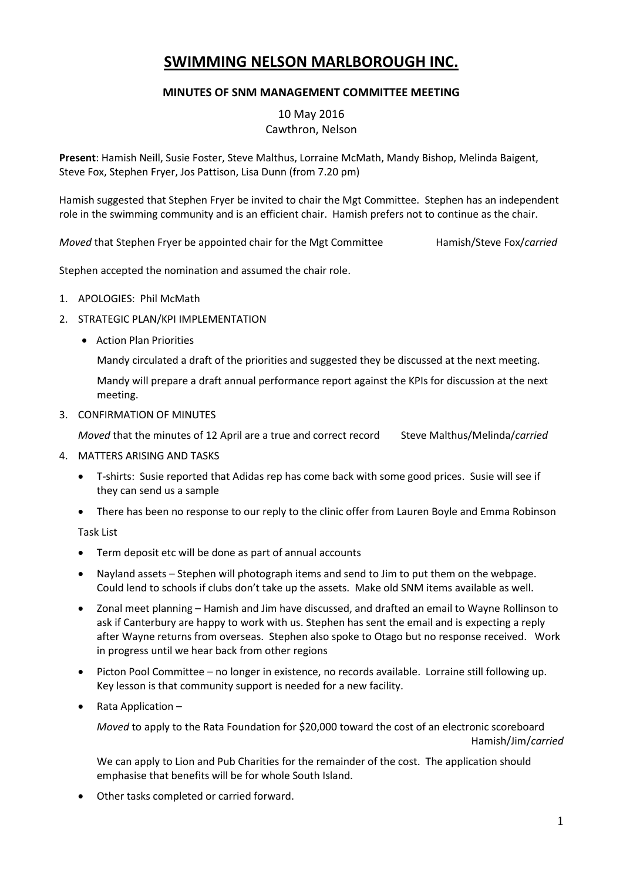# **SWIMMING NELSON MARLBOROUGH INC.**

# **MINUTES OF SNM MANAGEMENT COMMITTEE MEETING**

10 May 2016 Cawthron, Nelson

**Present**: Hamish Neill, Susie Foster, Steve Malthus, Lorraine McMath, Mandy Bishop, Melinda Baigent, Steve Fox, Stephen Fryer, Jos Pattison, Lisa Dunn (from 7.20 pm)

Hamish suggested that Stephen Fryer be invited to chair the Mgt Committee. Stephen has an independent role in the swimming community and is an efficient chair. Hamish prefers not to continue as the chair.

*Moved* that Stephen Fryer be appointed chair for the Mgt Committee Hamish/Steve Fox/*carried* 

Stephen accepted the nomination and assumed the chair role.

- 1. APOLOGIES: Phil McMath
- 2. STRATEGIC PLAN/KPI IMPLEMENTATION
	- Action Plan Priorities

Mandy circulated a draft of the priorities and suggested they be discussed at the next meeting.

Mandy will prepare a draft annual performance report against the KPIs for discussion at the next meeting.

3. CONFIRMATION OF MINUTES

*Moved* that the minutes of 12 April are a true and correct record Steve Malthus/Melinda/*carried*

- 4. MATTERS ARISING AND TASKS
	- T-shirts: Susie reported that Adidas rep has come back with some good prices. Susie will see if they can send us a sample
	- There has been no response to our reply to the clinic offer from Lauren Boyle and Emma Robinson

Task List

- Term deposit etc will be done as part of annual accounts
- Nayland assets Stephen will photograph items and send to Jim to put them on the webpage. Could lend to schools if clubs don't take up the assets. Make old SNM items available as well.
- Zonal meet planning Hamish and Jim have discussed, and drafted an email to Wayne Rollinson to ask if Canterbury are happy to work with us. Stephen has sent the email and is expecting a reply after Wayne returns from overseas. Stephen also spoke to Otago but no response received. Work in progress until we hear back from other regions
- Picton Pool Committee no longer in existence, no records available. Lorraine still following up. Key lesson is that community support is needed for a new facility.
- Rata Application –

*Moved* to apply to the Rata Foundation for \$20,000 toward the cost of an electronic scoreboard Hamish/Jim/*carried*

We can apply to Lion and Pub Charities for the remainder of the cost. The application should emphasise that benefits will be for whole South Island.

Other tasks completed or carried forward.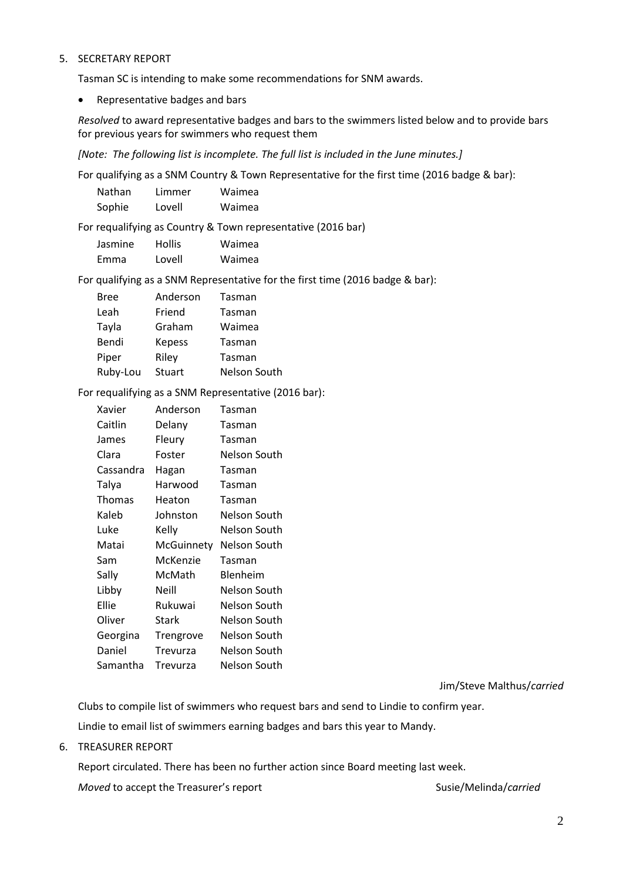### 5. SECRETARY REPORT

Tasman SC is intending to make some recommendations for SNM awards.

• Representative badges and bars

*Resolved* to award representative badges and bars to the swimmers listed below and to provide bars for previous years for swimmers who request them

*[Note: The following list is incomplete. The full list is included in the June minutes.]*

For qualifying as a SNM Country & Town Representative for the first time (2016 badge & bar):

| Nathan | Limmer | Waimea |
|--------|--------|--------|
| Sophie | Lovell | Waimea |

For requalifying as Country & Town representative (2016 bar)

| Jasmine | <b>Hollis</b> | Waimea |
|---------|---------------|--------|
| Emma    | Lovell        | Waimea |

For qualifying as a SNM Representative for the first time (2016 badge & bar):

| Bree     | Anderson      | Tasman       |
|----------|---------------|--------------|
| Leah     | Friend        | Tasman       |
| Tayla    | Graham        | Waimea       |
| Bendi    | <b>Kepess</b> | Tasman       |
| Piper    | Riley         | Tasman       |
| Ruby-Lou | <b>Stuart</b> | Nelson South |

For requalifying as a SNM Representative (2016 bar):

| Xavier    | Anderson          | Tasman              |
|-----------|-------------------|---------------------|
| Caitlin   | Delany            | Tasman              |
| James     | Fleury            | Tasman              |
| Clara     | Foster            | <b>Nelson South</b> |
| Cassandra | Hagan             | Tasman              |
| Talya     | Harwood           | Tasman              |
| Thomas    | Heaton            | Tasman              |
| Kaleb     | Johnston          | Nelson South        |
| Luke      | Kelly             | Nelson South        |
| Matai     | <b>McGuinnety</b> | Nelson South        |
| Sam       | McKenzie          | Tasman              |
| Sally     | McMath            | Blenheim            |
| Libby     | Neill             | <b>Nelson South</b> |
| Ellie     | Rukuwai           | Nelson South        |
| Oliver    | Stark             | Nelson South        |
| Georgina  | Trengrove         | Nelson South        |
| Daniel    | Trevurza          | Nelson South        |
| Samantha  | Trevurza          | Nelson South        |

Jim/Steve Malthus/*carried*

Clubs to compile list of swimmers who request bars and send to Lindie to confirm year.

Lindie to email list of swimmers earning badges and bars this year to Mandy.

6. TREASURER REPORT

Report circulated. There has been no further action since Board meeting last week.

*Moved* to accept the Treasurer's report Susie/Melinda/*carried* Susie/Melinda/*carried*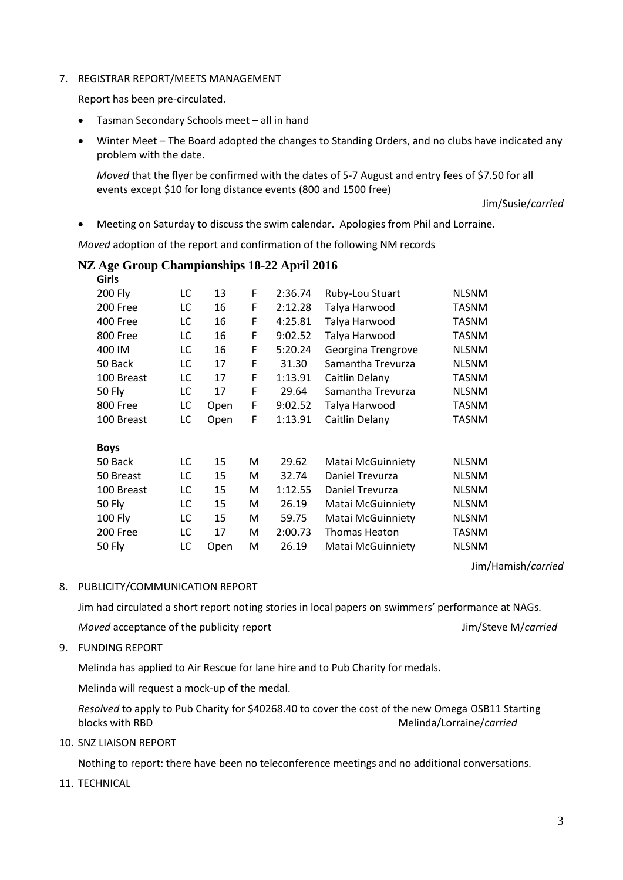### 7. REGISTRAR REPORT/MEETS MANAGEMENT

Report has been pre-circulated.

- Tasman Secondary Schools meet all in hand
- Winter Meet The Board adopted the changes to Standing Orders, and no clubs have indicated any problem with the date.

*Moved* that the flyer be confirmed with the dates of 5-7 August and entry fees of \$7.50 for all events except \$10 for long distance events (800 and 1500 free)

Jim/Susie/*carried*

Meeting on Saturday to discuss the swim calendar. Apologies from Phil and Lorraine.

*Moved* adoption of the report and confirmation of the following NM records

### **NZ Age Group Championships 18-22 April 2016**

| טווט           |    |      |   |         |                          |              |
|----------------|----|------|---|---------|--------------------------|--------------|
| <b>200 Fly</b> | LC | 13   | F | 2:36.74 | Ruby-Lou Stuart          | <b>NLSNM</b> |
| 200 Free       | LC | 16   | F | 2:12.28 | Talya Harwood            | TASNM        |
| 400 Free       | LC | 16   | F | 4:25.81 | Talya Harwood            | <b>TASNM</b> |
| 800 Free       | LC | 16   | F | 9:02.52 | Talya Harwood            | <b>TASNM</b> |
| 400 IM         | LC | 16   | F | 5:20.24 | Georgina Trengrove       | <b>NLSNM</b> |
| 50 Back        | LC | 17   | F | 31.30   | Samantha Trevurza        | <b>NLSNM</b> |
| 100 Breast     | LC | 17   | F | 1:13.91 | Caitlin Delany           | TASNM        |
| <b>50 Fly</b>  | LC | 17   | F | 29.64   | Samantha Trevurza        | <b>NLSNM</b> |
| 800 Free       | LC | Open | F | 9:02.52 | Talya Harwood            | <b>TASNM</b> |
| 100 Breast     | LC | Open | F | 1:13.91 | Caitlin Delany           | <b>TASNM</b> |
| <b>Boys</b>    |    |      |   |         |                          |              |
| 50 Back        | LC | 15   | м | 29.62   | <b>Matai McGuinniety</b> | <b>NLSNM</b> |
| 50 Breast      | LC | 15   | м | 32.74   | Daniel Trevurza          | <b>NLSNM</b> |
| 100 Breast     | LC | 15   | м | 1:12.55 | Daniel Trevurza          | <b>NLSNM</b> |
| <b>50 Fly</b>  | LC | 15   | м | 26.19   | <b>Matai McGuinniety</b> | <b>NLSNM</b> |
| <b>100 Fly</b> | LC | 15   | м | 59.75   | Matai McGuinniety        | <b>NLSNM</b> |
| 200 Free       | LC | 17   | м | 2:00.73 | Thomas Heaton            | <b>TASNM</b> |
| <b>50 Fly</b>  | LC | Open | M | 26.19   | Matai McGuinniety        | <b>NLSNM</b> |

Jim/Hamish/*carried*

8. PUBLICITY/COMMUNICATION REPORT

Jim had circulated a short report noting stories in local papers on swimmers' performance at NAGs*.*

*Moved* acceptance of the publicity report  $\blacksquare$  Jim/Steve M/*carried* 

9. FUNDING REPORT

**Girls**

Melinda has applied to Air Rescue for lane hire and to Pub Charity for medals.

Melinda will request a mock-up of the medal.

*Resolved* to apply to Pub Charity for \$40268.40 to cover the cost of the new Omega OSB11 Starting blocks with RBD Melinda/Lorraine/*carried* 

10. SNZ LIAISON REPORT

Nothing to report: there have been no teleconference meetings and no additional conversations.

11. TECHNICAL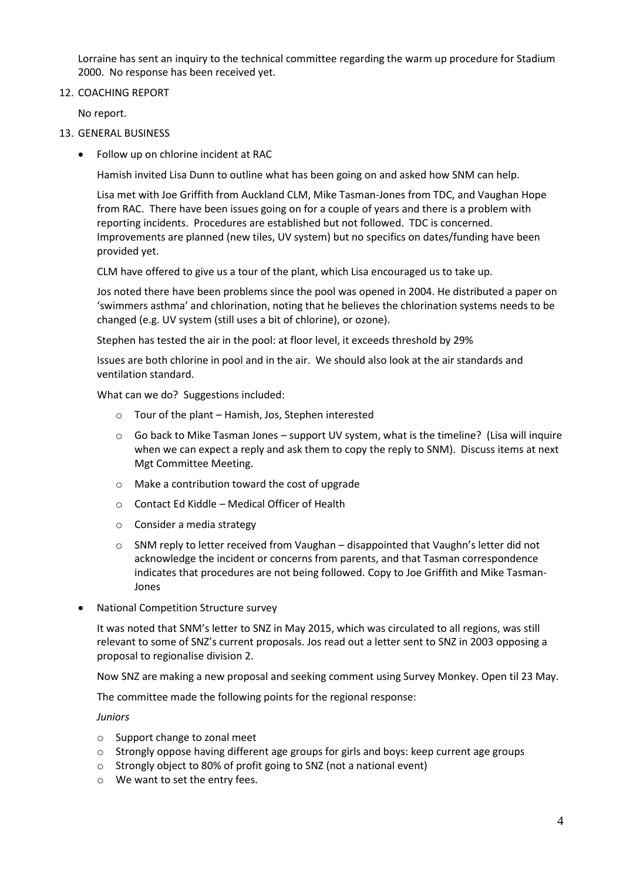Lorraine has sent an inquiry to the technical committee regarding the warm up procedure for Stadium 2000. No response has been received yet.

12. COACHING REPORT

No report.

- 13. GENERAL BUSINESS
	- Follow up on chlorine incident at RAC

Hamish invited Lisa Dunn to outline what has been going on and asked how SNM can help.

Lisa met with Joe Griffith from Auckland CLM, Mike Tasman-Jones from TDC, and Vaughan Hope from RAC. There have been issues going on for a couple of years and there is a problem with reporting incidents. Procedures are established but not followed. TDC is concerned. Improvements are planned (new tiles, UV system) but no specifics on dates/funding have been provided yet.

CLM have offered to give us a tour of the plant, which Lisa encouraged us to take up.

Jos noted there have been problems since the pool was opened in 2004. He distributed a paper on 'swimmers asthma' and chlorination, noting that he believes the chlorination systems needs to be changed (e.g. UV system (still uses a bit of chlorine), or ozone).

Stephen has tested the air in the pool: at floor level, it exceeds threshold by 29%

Issues are both chlorine in pool and in the air. We should also look at the air standards and ventilation standard.

What can we do? Suggestions included:

- o Tour of the plant Hamish, Jos, Stephen interested
- $\circ$  Go back to Mike Tasman Jones support UV system, what is the timeline? (Lisa will inquire when we can expect a reply and ask them to copy the reply to SNM). Discuss items at next Mgt Committee Meeting.
- o Make a contribution toward the cost of upgrade
- o Contact Ed Kiddle Medical Officer of Health
- o Consider a media strategy
- $\circ$  SNM reply to letter received from Vaughan disappointed that Vaughn's letter did not acknowledge the incident or concerns from parents, and that Tasman correspondence indicates that procedures are not being followed. Copy to Joe Griffith and Mike Tasman-Jones
- National Competition Structure survey

It was noted that SNM's letter to SNZ in May 2015, which was circulated to all regions, was still relevant to some of SNZ's current proposals. Jos read out a letter sent to SNZ in 2003 opposing a proposal to regionalise division 2.

Now SNZ are making a new proposal and seeking comment using Survey Monkey. Open til 23 May.

The committee made the following points for the regional response:

*Juniors* 

- o Support change to zonal meet
- o Strongly oppose having different age groups for girls and boys: keep current age groups
- o Strongly object to 80% of profit going to SNZ (not a national event)
- o We want to set the entry fees.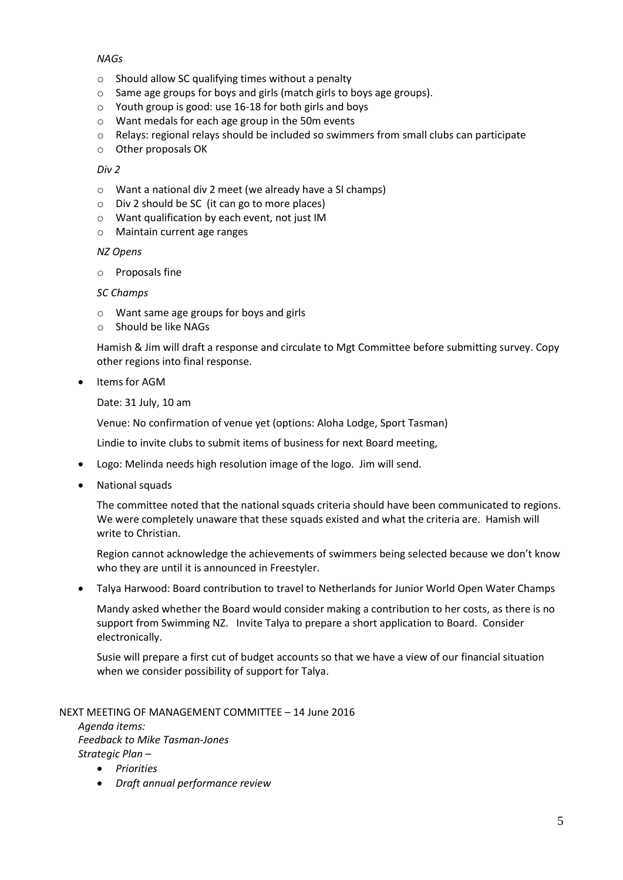## *NAGs*

- $\circ$  Should allow SC qualifying times without a penalty
- o Same age groups for boys and girls (match girls to boys age groups).
- o Youth group is good: use 16-18 for both girls and boys
- o Want medals for each age group in the 50m events
- $\circ$  Relays: regional relays should be included so swimmers from small clubs can participate
- o Other proposals OK

### *Div 2*

- o Want a national div 2 meet (we already have a SI champs)
- o Div 2 should be SC (it can go to more places)
- o Want qualification by each event, not just IM
- o Maintain current age ranges

## *NZ Opens*

o Proposals fine

## *SC Champs*

- o Want same age groups for boys and girls
- o Should be like NAGs

Hamish & Jim will draft a response and circulate to Mgt Committee before submitting survey. Copy other regions into final response.

• Items for AGM

Date: 31 July, 10 am

Venue: No confirmation of venue yet (options: Aloha Lodge, Sport Tasman)

Lindie to invite clubs to submit items of business for next Board meeting,

- Logo: Melinda needs high resolution image of the logo. Jim will send.
- National squads

The committee noted that the national squads criteria should have been communicated to regions. We were completely unaware that these squads existed and what the criteria are. Hamish will write to Christian.

Region cannot acknowledge the achievements of swimmers being selected because we don't know who they are until it is announced in Freestyler.

Talya Harwood: Board contribution to travel to Netherlands for Junior World Open Water Champs

Mandy asked whether the Board would consider making a contribution to her costs, as there is no support from Swimming NZ. Invite Talya to prepare a short application to Board. Consider electronically.

Susie will prepare a first cut of budget accounts so that we have a view of our financial situation when we consider possibility of support for Talya.

# NEXT MEETING OF MANAGEMENT COMMITTEE – 14 June 2016

*Agenda items: Feedback to Mike Tasman-Jones Strategic Plan –*

- *Priorities*
- *Draft annual performance review*